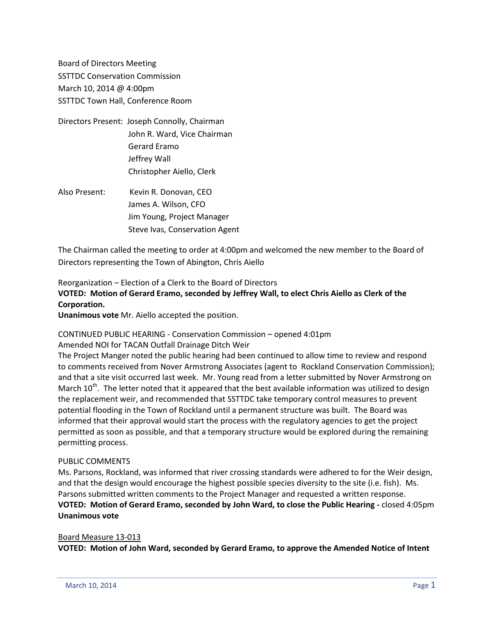Board of Directors Meeting SSTTDC Conservation Commission March 10, 2014 @ 4:00pm SSTTDC Town Hall, Conference Room

- Directors Present: Joseph Connolly, Chairman John R. Ward, Vice Chairman Gerard Eramo Jeffrey Wall Christopher Aiello, Clerk
- Also Present: Kevin R. Donovan, CEO James A. Wilson, CFO Jim Young, Project Manager Steve Ivas, Conservation Agent

The Chairman called the meeting to order at 4:00pm and welcomed the new member to the Board of Directors representing the Town of Abington, Chris Aiello

# Reorganization – Election of a Clerk to the Board of Directors **VOTED: Motion of Gerard Eramo, seconded by Jeffrey Wall, to elect Chris Aiello as Clerk of the Corporation.**

**Unanimous vote** Mr. Aiello accepted the position.

### CONTINUED PUBLIC HEARING - Conservation Commission – opened 4:01pm

Amended NOI for TACAN Outfall Drainage Ditch Weir

The Project Manger noted the public hearing had been continued to allow time to review and respond to comments received from Nover Armstrong Associates (agent to Rockland Conservation Commission); and that a site visit occurred last week. Mr. Young read from a letter submitted by Nover Armstrong on March 10<sup>th</sup>. The letter noted that it appeared that the best available information was utilized to design the replacement weir, and recommended that SSTTDC take temporary control measures to prevent potential flooding in the Town of Rockland until a permanent structure was built. The Board was informed that their approval would start the process with the regulatory agencies to get the project permitted as soon as possible, and that a temporary structure would be explored during the remaining permitting process.

### PUBLIC COMMENTS

Ms. Parsons, Rockland, was informed that river crossing standards were adhered to for the Weir design, and that the design would encourage the highest possible species diversity to the site (i.e. fish). Ms. Parsons submitted written comments to the Project Manager and requested a written response. **VOTED: Motion of Gerard Eramo, seconded by John Ward, to close the Public Hearing -** closed 4:05pm **Unanimous vote**

### Board Measure 13-013

**VOTED: Motion of John Ward, seconded by Gerard Eramo, to approve the Amended Notice of Intent**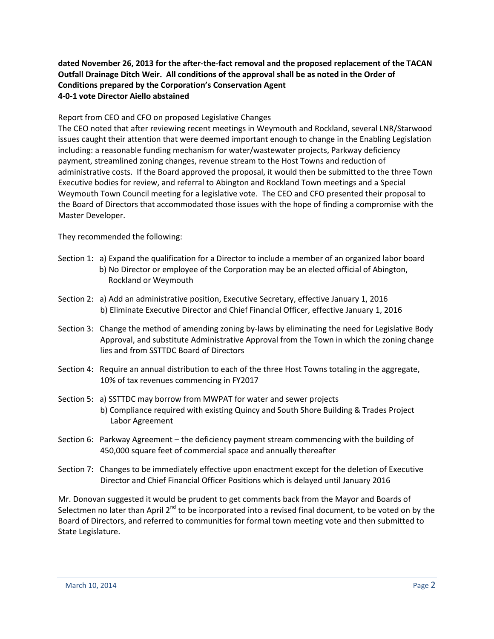## **dated November 26, 2013 for the after-the-fact removal and the proposed replacement of the TACAN Outfall Drainage Ditch Weir. All conditions of the approval shall be as noted in the Order of Conditions prepared by the Corporation's Conservation Agent 4-0-1 vote Director Aiello abstained**

Report from CEO and CFO on proposed Legislative Changes

The CEO noted that after reviewing recent meetings in Weymouth and Rockland, several LNR/Starwood issues caught their attention that were deemed important enough to change in the Enabling Legislation including: a reasonable funding mechanism for water/wastewater projects, Parkway deficiency payment, streamlined zoning changes, revenue stream to the Host Towns and reduction of administrative costs. If the Board approved the proposal, it would then be submitted to the three Town Executive bodies for review, and referral to Abington and Rockland Town meetings and a Special Weymouth Town Council meeting for a legislative vote. The CEO and CFO presented their proposal to the Board of Directors that accommodated those issues with the hope of finding a compromise with the Master Developer.

They recommended the following:

- Section 1: a) Expand the qualification for a Director to include a member of an organized labor board b) No Director or employee of the Corporation may be an elected official of Abington, Rockland or Weymouth
- Section 2: a) Add an administrative position, Executive Secretary, effective January 1, 2016 b) Eliminate Executive Director and Chief Financial Officer, effective January 1, 2016
- Section 3: Change the method of amending zoning by-laws by eliminating the need for Legislative Body Approval, and substitute Administrative Approval from the Town in which the zoning change lies and from SSTTDC Board of Directors
- Section 4: Require an annual distribution to each of the three Host Towns totaling in the aggregate, 10% of tax revenues commencing in FY2017
- Section 5: a) SSTTDC may borrow from MWPAT for water and sewer projects b) Compliance required with existing Quincy and South Shore Building & Trades Project Labor Agreement
- Section 6: Parkway Agreement the deficiency payment stream commencing with the building of 450,000 square feet of commercial space and annually thereafter
- Section 7: Changes to be immediately effective upon enactment except for the deletion of Executive Director and Chief Financial Officer Positions which is delayed until January 2016

Mr. Donovan suggested it would be prudent to get comments back from the Mayor and Boards of Selectmen no later than April  $2^{nd}$  to be incorporated into a revised final document, to be voted on by the Board of Directors, and referred to communities for formal town meeting vote and then submitted to State Legislature.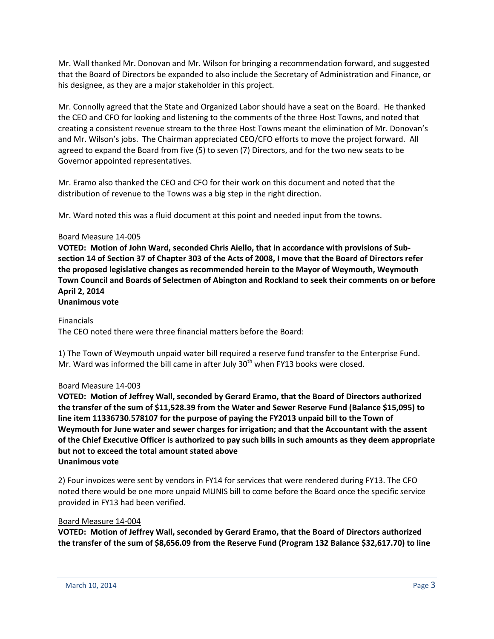Mr. Wall thanked Mr. Donovan and Mr. Wilson for bringing a recommendation forward, and suggested that the Board of Directors be expanded to also include the Secretary of Administration and Finance, or his designee, as they are a major stakeholder in this project.

Mr. Connolly agreed that the State and Organized Labor should have a seat on the Board. He thanked the CEO and CFO for looking and listening to the comments of the three Host Towns, and noted that creating a consistent revenue stream to the three Host Towns meant the elimination of Mr. Donovan's and Mr. Wilson's jobs. The Chairman appreciated CEO/CFO efforts to move the project forward. All agreed to expand the Board from five (5) to seven (7) Directors, and for the two new seats to be Governor appointed representatives.

Mr. Eramo also thanked the CEO and CFO for their work on this document and noted that the distribution of revenue to the Towns was a big step in the right direction.

Mr. Ward noted this was a fluid document at this point and needed input from the towns.

### Board Measure 14-005

**VOTED: Motion of John Ward, seconded Chris Aiello, that in accordance with provisions of Subsection 14 of Section 37 of Chapter 303 of the Acts of 2008, I move that the Board of Directors refer the proposed legislative changes as recommended herein to the Mayor of Weymouth, Weymouth Town Council and Boards of Selectmen of Abington and Rockland to seek their comments on or before April 2, 2014**

# **Unanimous vote**

### Financials

The CEO noted there were three financial matters before the Board:

1) The Town of Weymouth unpaid water bill required a reserve fund transfer to the Enterprise Fund. Mr. Ward was informed the bill came in after July  $30<sup>th</sup>$  when FY13 books were closed.

### Board Measure 14-003

**VOTED: Motion of Jeffrey Wall, seconded by Gerard Eramo, that the Board of Directors authorized the transfer of the sum of \$11,528.39 from the Water and Sewer Reserve Fund (Balance \$15,095) to line item 11336730.578107 for the purpose of paying the FY2013 unpaid bill to the Town of Weymouth for June water and sewer charges for irrigation; and that the Accountant with the assent of the Chief Executive Officer is authorized to pay such bills in such amounts as they deem appropriate but not to exceed the total amount stated above Unanimous vote**

2) Four invoices were sent by vendors in FY14 for services that were rendered during FY13. The CFO noted there would be one more unpaid MUNIS bill to come before the Board once the specific service provided in FY13 had been verified.

#### Board Measure 14-004

**VOTED: Motion of Jeffrey Wall, seconded by Gerard Eramo, that the Board of Directors authorized the transfer of the sum of \$8,656.09 from the Reserve Fund (Program 132 Balance \$32,617.70) to line**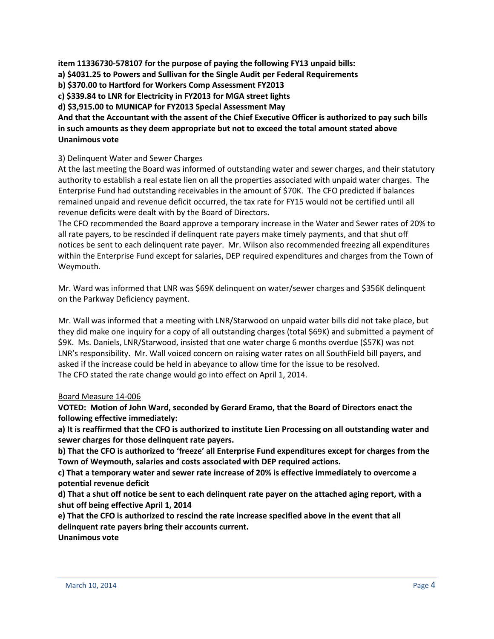**item 11336730-578107 for the purpose of paying the following FY13 unpaid bills:** 

- **a) \$4031.25 to Powers and Sullivan for the Single Audit per Federal Requirements**
- **b) \$370.00 to Hartford for Workers Comp Assessment FY2013**
- **c) \$339.84 to LNR for Electricity in FY2013 for MGA street lights**

**d) \$3,915.00 to MUNICAP for FY2013 Special Assessment May**

**And that the Accountant with the assent of the Chief Executive Officer is authorized to pay such bills in such amounts as they deem appropriate but not to exceed the total amount stated above Unanimous vote**

## 3) Delinquent Water and Sewer Charges

At the last meeting the Board was informed of outstanding water and sewer charges, and their statutory authority to establish a real estate lien on all the properties associated with unpaid water charges. The Enterprise Fund had outstanding receivables in the amount of \$70K. The CFO predicted if balances remained unpaid and revenue deficit occurred, the tax rate for FY15 would not be certified until all revenue deficits were dealt with by the Board of Directors.

The CFO recommended the Board approve a temporary increase in the Water and Sewer rates of 20% to all rate payers, to be rescinded if delinquent rate payers make timely payments, and that shut off notices be sent to each delinquent rate payer. Mr. Wilson also recommended freezing all expenditures within the Enterprise Fund except for salaries, DEP required expenditures and charges from the Town of Weymouth.

Mr. Ward was informed that LNR was \$69K delinquent on water/sewer charges and \$356K delinquent on the Parkway Deficiency payment.

Mr. Wall was informed that a meeting with LNR/Starwood on unpaid water bills did not take place, but they did make one inquiry for a copy of all outstanding charges (total \$69K) and submitted a payment of \$9K. Ms. Daniels, LNR/Starwood, insisted that one water charge 6 months overdue (\$57K) was not LNR's responsibility. Mr. Wall voiced concern on raising water rates on all SouthField bill payers, and asked if the increase could be held in abeyance to allow time for the issue to be resolved. The CFO stated the rate change would go into effect on April 1, 2014.

### Board Measure 14-006

**VOTED: Motion of John Ward, seconded by Gerard Eramo, that the Board of Directors enact the following effective immediately:**

**a) It is reaffirmed that the CFO is authorized to institute Lien Processing on all outstanding water and sewer charges for those delinquent rate payers.**

**b) That the CFO is authorized to 'freeze' all Enterprise Fund expenditures except for charges from the Town of Weymouth, salaries and costs associated with DEP required actions.**

**c) That a temporary water and sewer rate increase of 20% is effective immediately to overcome a potential revenue deficit**

**d) That a shut off notice be sent to each delinquent rate payer on the attached aging report, with a shut off being effective April 1, 2014**

**e) That the CFO is authorized to rescind the rate increase specified above in the event that all delinquent rate payers bring their accounts current.**

**Unanimous vote**